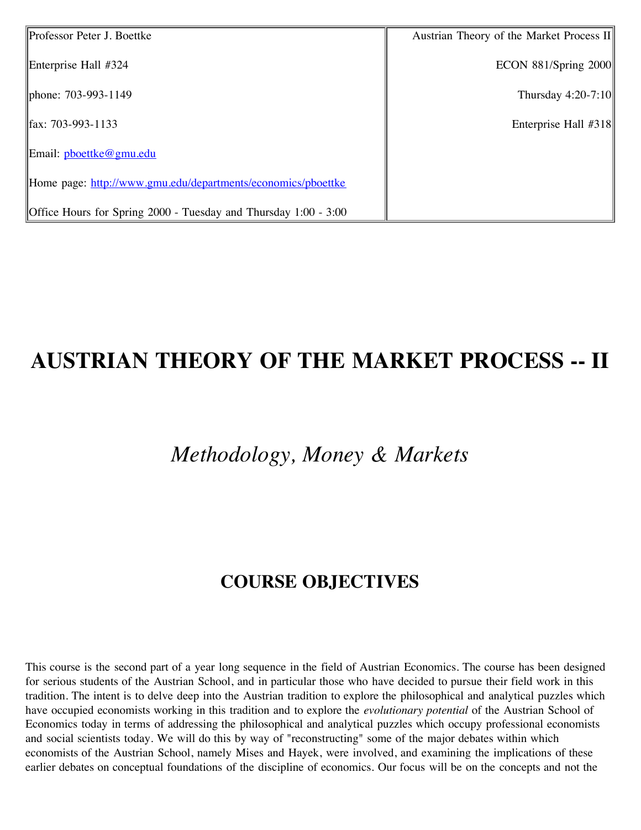| Professor Peter J. Boettke                                      | Austrian Theory of the Market Process II |
|-----------------------------------------------------------------|------------------------------------------|
| Enterprise Hall #324                                            | ECON $881/Spring$ 2000                   |
| phone: 703-993-1149                                             | Thursday $4:20-7:10$                     |
| $\parallel$ fax: 703-993-1133                                   | Enterprise Hall #318                     |
| Email: pboettke@gmu.edu                                         |                                          |
| Home page: http://www.gmu.edu/departments/economics/pboettke    |                                          |
| Office Hours for Spring 2000 - Tuesday and Thursday 1:00 - 3:00 |                                          |

# **AUSTRIAN THEORY OF THE MARKET PROCESS -- II**

# *Methodology, Money & Markets*

#### **COURSE OBJECTIVES**

This course is the second part of a year long sequence in the field of Austrian Economics. The course has been designed for serious students of the Austrian School, and in particular those who have decided to pursue their field work in this tradition. The intent is to delve deep into the Austrian tradition to explore the philosophical and analytical puzzles which have occupied economists working in this tradition and to explore the *evolutionary potential* of the Austrian School of Economics today in terms of addressing the philosophical and analytical puzzles which occupy professional economists and social scientists today. We will do this by way of "reconstructing" some of the major debates within which economists of the Austrian School, namely Mises and Hayek, were involved, and examining the implications of these earlier debates on conceptual foundations of the discipline of economics. Our focus will be on the concepts and not the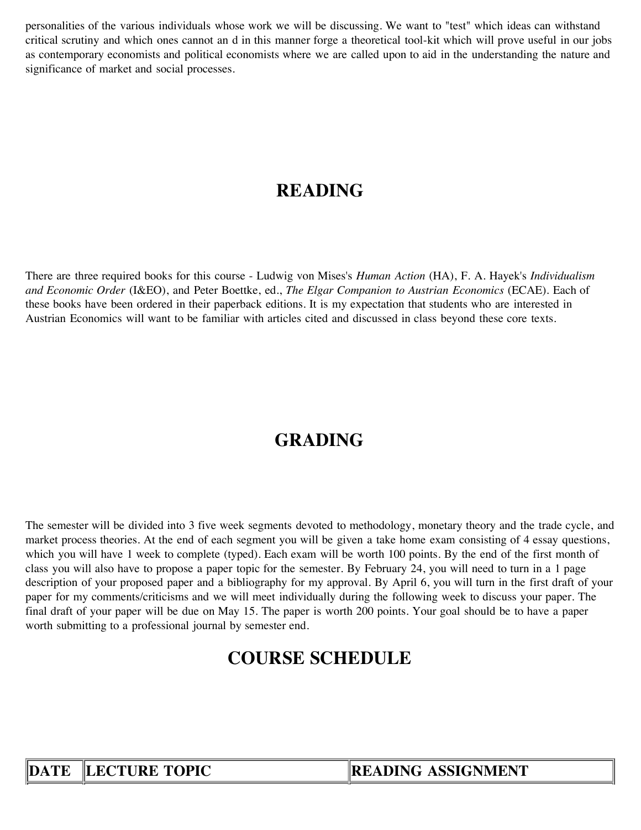personalities of the various individuals whose work we will be discussing. We want to "test" which ideas can withstand critical scrutiny and which ones cannot an d in this manner forge a theoretical tool-kit which will prove useful in our jobs as contemporary economists and political economists where we are called upon to aid in the understanding the nature and significance of market and social processes.

### **READING**

There are three required books for this course - Ludwig von Mises's *Human Action* (HA), F. A. Hayek's *Individualism and Economic Order* (I&EO), and Peter Boettke, ed., *The Elgar Companion to Austrian Economics* (ECAE). Each of these books have been ordered in their paperback editions. It is my expectation that students who are interested in Austrian Economics will want to be familiar with articles cited and discussed in class beyond these core texts.

## **GRADING**

The semester will be divided into 3 five week segments devoted to methodology, monetary theory and the trade cycle, and market process theories. At the end of each segment you will be given a take home exam consisting of 4 essay questions, which you will have 1 week to complete (typed). Each exam will be worth 100 points. By the end of the first month of class you will also have to propose a paper topic for the semester. By February 24, you will need to turn in a 1 page description of your proposed paper and a bibliography for my approval. By April 6, you will turn in the first draft of your paper for my comments/criticisms and we will meet individually during the following week to discuss your paper. The final draft of your paper will be due on May 15. The paper is worth 200 points. Your goal should be to have a paper worth submitting to a professional journal by semester end.

#### **COURSE SCHEDULE**

**DATE** LECTURE TOPIC READING ASSIGNMENT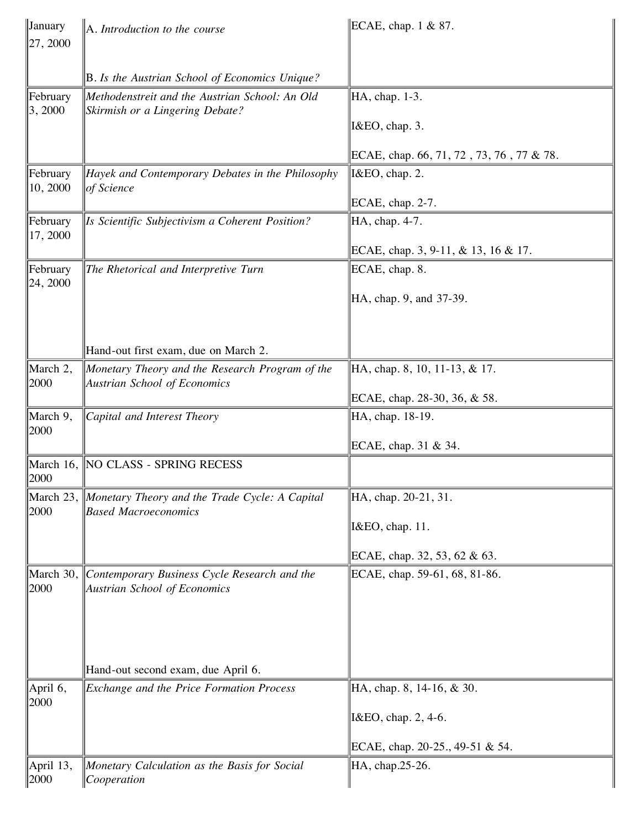| January<br>$\ 27, 2000\ $   | A. Introduction to the course                                                           | ECAE, chap. $1 \& 87$ .                  |
|-----------------------------|-----------------------------------------------------------------------------------------|------------------------------------------|
|                             |                                                                                         |                                          |
|                             | B. Is the Austrian School of Economics Unique?                                          |                                          |
| <b>February</b><br> 3, 2000 | Methodenstreit and the Austrian School: An Old<br>Skirmish or a Lingering Debate?       | HA, chap. 1-3.                           |
|                             |                                                                                         | I&EO, chap. 3.                           |
|                             |                                                                                         | ECAE, chap. 66, 71, 72, 73, 76, 77 & 78. |
| February<br> 10, 2000       | Hayek and Contemporary Debates in the Philosophy<br>of Science                          | I&EO, chap. 2.                           |
|                             |                                                                                         | ECAE, chap. 2-7.                         |
| February<br> 17, 2000       | Is Scientific Subjectivism a Coherent Position?                                         | HA, chap. 4-7.                           |
|                             |                                                                                         | ECAE, chap. 3, 9-11, & 13, 16 & 17.      |
| February<br> 24, 2000       | The Rhetorical and Interpretive Turn                                                    | ECAE, chap. 8.                           |
|                             |                                                                                         | HA, chap. 9, and 37-39.                  |
|                             |                                                                                         |                                          |
|                             | Hand-out first exam, due on March 2.                                                    |                                          |
| March 2,<br> 2000           | Monetary Theory and the Research Program of the<br><b>Austrian School of Economics</b>  | HA, chap. 8, 10, 11-13, & 17.            |
|                             |                                                                                         | ECAE, chap. 28-30, 36, & 58.             |
| March 9,<br>2000            | Capital and Interest Theory                                                             | HA, chap. 18-19.                         |
|                             |                                                                                         | ECAE, chap. 31 & 34.                     |
| 2000                        | March 16, NO CLASS - SPRING RECESS                                                      |                                          |
| 2000                        | March 23, Monetary Theory and the Trade Cycle: A Capital<br><b>Based Macroeconomics</b> | HA, chap. 20-21, 31.                     |
|                             |                                                                                         | I&EO, chap. 11.                          |
|                             |                                                                                         | ECAE, chap. 32, 53, 62 & 63.             |
| March 30,<br>2000           | Contemporary Business Cycle Research and the<br><b>Austrian School of Economics</b>     | ECAE, chap. 59-61, 68, 81-86.            |
|                             |                                                                                         |                                          |
|                             | Hand-out second exam, due April 6.                                                      |                                          |
| April 6,<br>2000            | Exchange and the Price Formation Process                                                | HA, chap. 8, 14-16, & 30.                |
|                             |                                                                                         | I&EO, chap. 2, 4-6.                      |
|                             |                                                                                         | ECAE, chap. 20-25., 49-51 & 54.          |
| April 13,<br>2000           | Monetary Calculation as the Basis for Social<br>Cooperation                             | HA, chap.25-26.                          |